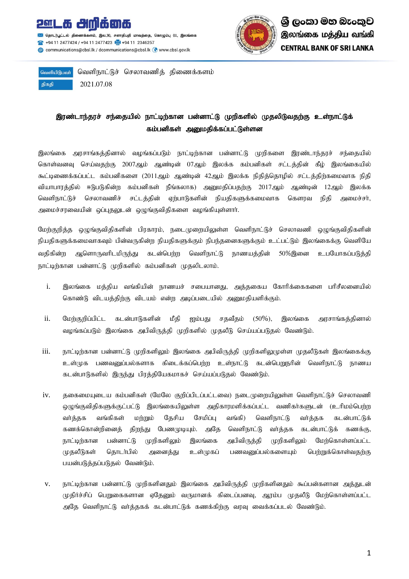

தொடர்பூட்டல் கி .<br>னக்களம், இல.30, சனாதிபதி மாவத்தை, கொழும்பு 01, இலங்கை 494 11 2477424 / +94 11 2477423 +44 11 2346257 @ communications@cbsl.lk / dcommunications@cbsl.lk @ www.cbsl.gov.lk



வெளியிடுபவர் திகதி 2021.07.08

வெளிநாட்டுச் செலாவணித் திணைக்களம்

## இரண்டாந்தரச் சந்தையில் நாட்டிற்கான பன்னாட்டு முறிகளில் முதலிடுவதற்கு உள்நாட்டுக் கம்பனிகள் அனுமதிக்கப்பட்டுள்ளன

இலங்கை அரசாங்கத்தினால் வழங்கப்படும் நாட்டிற்கான பன்னாட்டு முறிகளை இரண்டாந்தரச் சந்தையில் கொள்வனவு செய்வதற்கு 2007ஆம் ஆண்டின் 07ஆம் இலக்க கம்பனிகள் சட்டத்தின் கீழ் இலங்கையில் கூட்டிணைக்கப்பட்ட கம்பனிகளை (2011ஆம் ஆண்டின் 42ஆம் இலக்க நிதித்தொழில் சட்டத்திற்கமைவாக நிதி வியாபாரத்தில் ஈடுபடுகின்ற கம்பனிகள் நீங்கலாக) அனுமதிப்பதற்கு 2017ஆம் ஆண்டின் 12ஆம் இலக்க வெளிநாட்டுச் செலாவணிச் சட்டத்தின் ஏற்பாடுகளின் நியதிகளுக்கமைவாக கௌரவ நிதி அமைச்சர், அமைச்சரவையின் ஒப்புதலுடன் ஒழுங்குவிதிகளை வழங்கியுள்ளார்.

மேற்குறித்த ஒழுங்குவிதிகளின் பிரகாரம், நடைமுறையிலுள்ள வெளிநாட்டுச் செலாவணி ஒழுங்குவிதிகளின் நியதிகளுக்கமைவாகவும் பின்வருகின்ற நியதிகளுக்கும் நிபந்தனைகளுக்கும் உட்பட்டும் இலங்கைக்கு வெளியே வதிகின்ற ஆளொருவரிடமிருந்து கடன்பெற்ற வெளிநாட்டு நாணயத்தின் 50%இனை உபயோகப்படுத்தி நாட்டிற்கான பன்னாட்டு முறிகளில் கம்பனிகள் முதலிடலாம்.

- i. இலங்கை மத்திய வங்கியின் நாணயச் சபையானது, அத்தகைய கோரிக்கைகளை பரிசீலனையில் கொண்டு விடயத்திற்கு விடயம் என்ற அடிப்படையில் அனுமதியளிக்கும்.
- ii. மேற்குறிப்பிட்ட கடன்பாடுகளின் மீதி ஐம்பது சதவீதம் (50%), இலங்கை அரசாங்கத்தினால் வழங்கப்படும் இலங்கை அபிவிருத்தி முறிகளில் முதலீடு செய்யப்படுதல் வேண்டும்.
- iii. நாட்டிற்கான பன்னாட்டு முறிகளிலும் இலங்கை அபிவிருத்தி முறிகளிலுமுள்ள முதலீடுகள் இலங்கைக்கு உள்முக பணவனுப்பல்களாக கிடைக்கப்பெற்ற உள்நாட்டு கடன்பெறுநரின் வெளிநாட்டு நாணய கடன்பாடுகளில் இருந்து பிரத்தியேகமாகச் செய்யப்படுதல் வேண்டும்.
- iv. தகைமையுடைய கம்பனிகள் (மேலே குறிப்பிடப்பட்டவை) நடைமுறையிலுள்ள வெளிநாட்டுச் செலாவணி ஒழுங்குவிதிகளுக்குட்பட்டு இலங்கையிலுள்ள அதிகாரமளிக்கப்பட்ட வணிகா்களுடன் (உரிமம்பெற்ற வா்த்தக வங்கிகள் மற்றும் தேசிய சேமிப்பு வங்கி) வெளிநாட்டு வா்த்தக கடன்பாட்டுக் கணக்கொன்றினைத் திறந்து பேணமுடியும். அதே வெளிநாட்டு வர்த்தக கடன்பாட்டுக் கணக்கு, நாட்டிற்கான பன்னாட்டு முறிகளிலும் இலங்கை அபிவிருத்தி முறிகளிலும் மேற்கொள்ளப்பட்ட முதலீடுகள் தொடா்பில் அனைத்து உள்முகப் பணவனுப்பல்களையும் பெற்றுக்கொள்வதற்கு பயன்படுத்தப்படுதல் வேண்டும்.
- v. நாட்டிற்கான பன்னாட்டு முறிகளினதும் இலங்கை அபிவிருத்தி முறிகளினதும் கூப்பன்களான அத்துடன் முதிர்ச்சிப் பெறுகைகளான ஏதேனும் வருமானக் கிடைப்பனவு, ஆரம்ப முதலீடு மேற்கொள்ளப்பட்ட அதே வெளிநாட்டு வா்த்தகக் கடன்பாட்டுக் கணக்கிற்கு வரவு வைக்கப்படல் வேண்டும்.